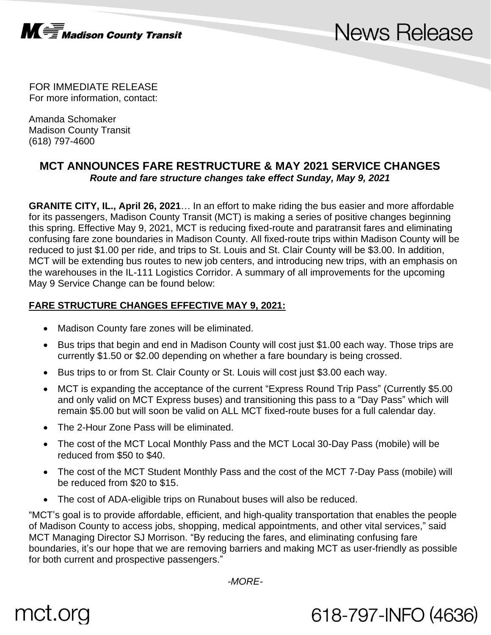

## **News Release**

618-797-INFO (4636)

FOR IMMEDIATE RELEASE For more information, contact:

Amanda Schomaker Madison County Transit (618) 797-4600

### **MCT ANNOUNCES FARE RESTRUCTURE & MAY 2021 SERVICE CHANGES** *Route and fare structure changes take effect Sunday, May 9, 2021*

**GRANITE CITY, IL., April 26, 2021**… In an effort to make riding the bus easier and more affordable for its passengers, Madison County Transit (MCT) is making a series of positive changes beginning this spring. Effective May 9, 2021, MCT is reducing fixed-route and paratransit fares and eliminating confusing fare zone boundaries in Madison County. All fixed-route trips within Madison County will be reduced to just \$1.00 per ride, and trips to St. Louis and St. Clair County will be \$3.00. In addition, MCT will be extending bus routes to new job centers, and introducing new trips, with an emphasis on the warehouses in the IL-111 Logistics Corridor. A summary of all improvements for the upcoming May 9 Service Change can be found below:

### **FARE STRUCTURE CHANGES EFFECTIVE MAY 9, 2021:**

- Madison County fare zones will be eliminated.
- Bus trips that begin and end in Madison County will cost just \$1.00 each way. Those trips are currently \$1.50 or \$2.00 depending on whether a fare boundary is being crossed.
- Bus trips to or from St. Clair County or St. Louis will cost just \$3.00 each way.
- MCT is expanding the acceptance of the current "Express Round Trip Pass" (Currently \$5.00 and only valid on MCT Express buses) and transitioning this pass to a "Day Pass" which will remain \$5.00 but will soon be valid on ALL MCT fixed-route buses for a full calendar day.
- The 2-Hour Zone Pass will be eliminated.
- The cost of the MCT Local Monthly Pass and the MCT Local 30-Day Pass (mobile) will be reduced from \$50 to \$40.
- The cost of the MCT Student Monthly Pass and the cost of the MCT 7-Day Pass (mobile) will be reduced from \$20 to \$15.
- The cost of ADA-eligible trips on Runabout buses will also be reduced.

"MCT's goal is to provide affordable, efficient, and high-quality transportation that enables the people of Madison County to access jobs, shopping, medical appointments, and other vital services," said MCT Managing Director SJ Morrison. "By reducing the fares, and eliminating confusing fare boundaries, it's our hope that we are removing barriers and making MCT as user-friendly as possible for both current and prospective passengers."

*-MORE-*

# mct.org